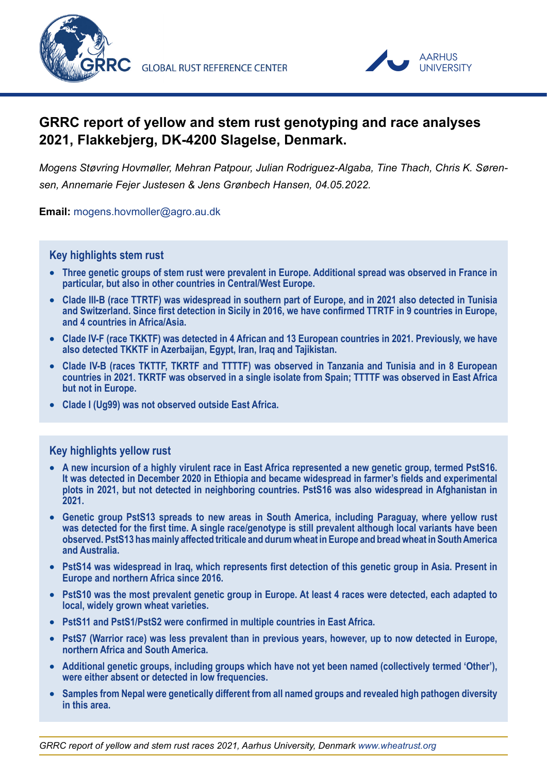



# **GRRC report of yellow and stem rust genotyping and race analyses 2021, Flakkebjerg, DK-4200 Slagelse, Denmark.**

*Mogens Støvring Hovmøller, Mehran Patpour, Julian Rodriguez-Algaba, Tine Thach, Chris K. Sørensen, Annemarie Fejer Justesen & Jens Grønbech Hansen, 04.05.2022.*

**Email:** [mogens.hovmoller@agro.au.dk](http://mogens.hovmoller@agro.au.dk)

#### **Key highlights stem rust**

- **Three genetic groups of stem rust were prevalent in Europe. Additional spread was observed in France in particular, but also in other countries in Central/West Europe.**
- **Clade III-B (race TTRTF) was widespread in southern part of Europe, and in 2021 also detected in Tunisia and Switzerland. Since first detection in Sicily in 2016, we have confirmed TTRTF in 9 countries in Europe, and 4 countries in Africa/Asia.**
- **Clade IV-F (race TKKTF) was detected in 4 African and 13 European countries in 2021. Previously, we have also detected TKKTF in Azerbaijan, Egypt, Iran, Iraq and Tajikistan.**
- **Clade IV-B (races TKTTF, TKRTF and TTTTF) was observed in Tanzania and Tunisia and in 8 European countries in 2021. TKRTF was observed in a single isolate from Spain; TTTTF was observed in East Africa but not in Europe.**
- **Clade I (Ug99) was not observed outside East Africa.**

#### **Key highlights yellow rust**

- **A new incursion of a highly virulent race in East Africa represented a new genetic group, termed PstS16. It was detected in December 2020 in Ethiopia and became widespread in farmer's fields and experimental plots in 2021, but not detected in neighboring countries. PstS16 was also widespread in Afghanistan in 2021.**
- **Genetic group PstS13 spreads to new areas in South America, including Paraguay, where yellow rust was detected for the first time. A single race/genotype is still prevalent although local variants have been observed. PstS13 has mainly affected triticale and durum wheat in Europe and bread wheat in South America and Australia.**
- **PstS14 was widespread in Iraq, which represents first detection of this genetic group in Asia. Present in Europe and northern Africa since 2016.**
- **PstS10 was the most prevalent genetic group in Europe. At least 4 races were detected, each adapted to local, widely grown wheat varieties.**
- **PstS11 and PstS1/PstS2 were confirmed in multiple countries in East Africa.**
- **PstS7 (Warrior race) was less prevalent than in previous years, however, up to now detected in Europe, northern Africa and South America.**
- **Additional genetic groups, including groups which have not yet been named (collectively termed 'Other'), were either absent or detected in low frequencies.**
- **Samples from Nepal were genetically different from all named groups and revealed high pathogen diversity in this area.**

*GRRC report of yellow and stem rust races 2021, Aarhus University, Denmark www.wheatrust.org*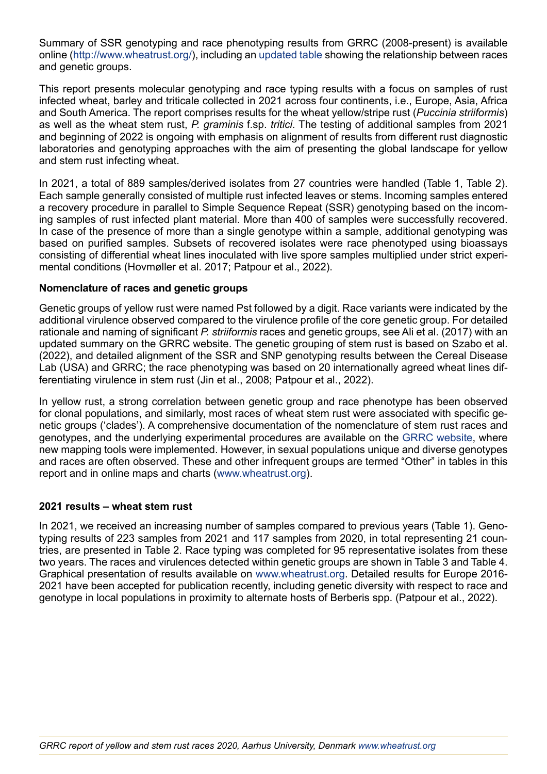Summary of SSR genotyping and race phenotyping results from GRRC (2008-present) is available online ([http://www.wheatrust.org/\)](http://www.wheatrust.org/), including an [updated table](https://agro.au.dk/fileadmin/www.grcc.au.dk/Methods_and_protocols/Race_phenotyping/Pst_Table2022_March.png) showing the relationship between races and genetic groups.

This report presents molecular genotyping and race typing results with a focus on samples of rust infected wheat, barley and triticale collected in 2021 across four continents, i.e., Europe, Asia, Africa and South America. The report comprises results for the wheat yellow/stripe rust (*Puccinia striiformis*) as well as the wheat stem rust, *P. graminis* f.sp. *tritici*. The testing of additional samples from 2021 and beginning of 2022 is ongoing with emphasis on alignment of results from different rust diagnostic laboratories and genotyping approaches with the aim of presenting the global landscape for yellow and stem rust infecting wheat.

In 2021, a total of 889 samples/derived isolates from 27 countries were handled (Table 1, Table 2). Each sample generally consisted of multiple rust infected leaves or stems. Incoming samples entered a recovery procedure in parallel to Simple Sequence Repeat (SSR) genotyping based on the incoming samples of rust infected plant material. More than 400 of samples were successfully recovered. In case of the presence of more than a single genotype within a sample, additional genotyping was based on purified samples. Subsets of recovered isolates were race phenotyped using bioassays consisting of differential wheat lines inoculated with live spore samples multiplied under strict experimental conditions (Hovmøller et al. 2017; Patpour et al., 2022).

## **Nomenclature of races and genetic groups**

Genetic groups of yellow rust were named Pst followed by a digit. Race variants were indicated by the additional virulence observed compared to the virulence profile of the core genetic group. For detailed rationale and naming of significant *P. striiformis* races and genetic groups, see Ali et al. (2017) with an updated summary on the GRRC website. The genetic grouping of stem rust is based on Szabo et al. (2022), and detailed alignment of the SSR and SNP genotyping results between the Cereal Disease Lab (USA) and GRRC; the race phenotyping was based on 20 internationally agreed wheat lines differentiating virulence in stem rust (Jin et al., 2008; Patpour et al., 2022).

In yellow rust, a strong correlation between genetic group and race phenotype has been observed for clonal populations, and similarly, most races of wheat stem rust were associated with specific genetic groups ('clades'). A comprehensive documentation of the nomenclature of stem rust races and genotypes, and the underlying experimental procedures are available on the [GRRC website](https://agro.au.dk/forskning/internationale-platforme/wheatrust/), where new mapping tools were implemented. However, in sexual populations unique and diverse genotypes and races are often observed. These and other infrequent groups are termed "Other" in tables in this report and in online maps and charts [\(www.wheatrust.org](http://www.wheatrust.org)).

#### **2021 results – wheat stem rust**

In 2021, we received an increasing number of samples compared to previous years (Table 1). Genotyping results of 223 samples from 2021 and 117 samples from 2020, in total representing 21 countries, are presented in Table 2. Race typing was completed for 95 representative isolates from these two years. The races and virulences detected within genetic groups are shown in Table 3 and Table 4. Graphical presentation of results available on [www.wheatrust.org.](http://www.wheatrust.org) Detailed results for Europe 2016- 2021 have been accepted for publication recently, including genetic diversity with respect to race and genotype in local populations in proximity to alternate hosts of Berberis spp. (Patpour et al., 2022).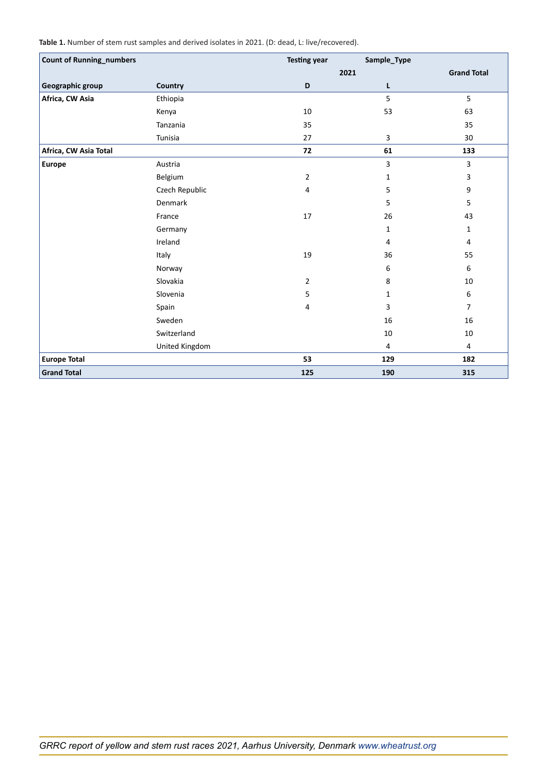**Table 1.** Number of stem rust samples and derived isolates in 2021. (D: dead, L: live/recovered).

| <b>Count of Running_numbers</b> |                | <b>Testing year</b> | Sample_Type  |                    |
|---------------------------------|----------------|---------------------|--------------|--------------------|
|                                 |                |                     | 2021         | <b>Grand Total</b> |
| Geographic group                | Country        | D                   | Г            |                    |
| Africa, CW Asia                 | Ethiopia       |                     | 5            | 5                  |
|                                 | Kenya          | $10\,$              | 53           | 63                 |
|                                 | Tanzania       | 35                  |              | 35                 |
|                                 | Tunisia        | 27                  | 3            | 30                 |
| Africa, CW Asia Total           |                | 72                  | 61           | 133                |
| <b>Europe</b>                   | Austria        |                     | 3            | 3                  |
|                                 | Belgium        | $\overline{2}$      | $\mathbf{1}$ | 3                  |
|                                 | Czech Republic | 4                   | 5            | 9                  |
|                                 | Denmark        |                     | 5            | 5                  |
|                                 | France         | 17                  | 26           | 43                 |
|                                 | Germany        |                     | $\mathbf{1}$ | $\mathbf{1}$       |
|                                 | Ireland        |                     | 4            | 4                  |
|                                 | Italy          | 19                  | 36           | 55                 |
|                                 | Norway         |                     | 6            | 6                  |
|                                 | Slovakia       | $\overline{2}$      | 8            | 10                 |
|                                 | Slovenia       | 5                   | 1            | 6                  |
|                                 | Spain          | 4                   | 3            | $\overline{7}$     |
|                                 | Sweden         |                     | 16           | 16                 |
|                                 | Switzerland    |                     | 10           | 10                 |
|                                 | United Kingdom |                     | 4            | 4                  |
| <b>Europe Total</b>             |                | 53                  | 129          | 182                |
| <b>Grand Total</b>              |                | 125                 | 190          | 315                |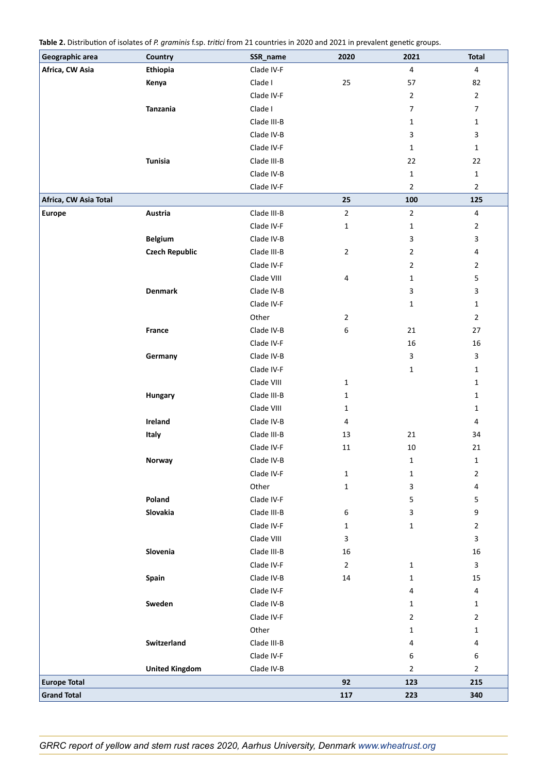**Table 2.** Distribution of isolates of *P. graminis* f.sp. *tritici* from 21 countries in 2020 and 2021 in prevalent genetic groups.

| Geographic area       | Country               | SSR_name    | 2020           | 2021                    | <b>Total</b>            |
|-----------------------|-----------------------|-------------|----------------|-------------------------|-------------------------|
| Africa, CW Asia       | Ethiopia              | Clade IV-F  |                | $\overline{\mathbf{4}}$ | $\overline{4}$          |
|                       | Kenya                 | Clade I     | 25             | 57                      | 82                      |
|                       |                       | Clade IV-F  |                | $\overline{2}$          | $\overline{2}$          |
|                       | Tanzania              | Clade I     |                | 7                       | $\boldsymbol{7}$        |
|                       |                       | Clade III-B |                | $\mathbf{1}$            | $\mathbf{1}$            |
|                       |                       | Clade IV-B  |                | 3                       | 3                       |
|                       |                       | Clade IV-F  |                | $\mathbf{1}$            | $\mathbf 1$             |
|                       | <b>Tunisia</b>        | Clade III-B |                | 22                      | 22                      |
|                       |                       | Clade IV-B  |                | $\mathbf{1}$            | $\mathbf 1$             |
|                       |                       | Clade IV-F  |                | $\overline{2}$          | $\overline{2}$          |
| Africa, CW Asia Total |                       |             | 25             | 100                     | 125                     |
| <b>Europe</b>         | Austria               | Clade III-B | $\overline{2}$ | $\overline{2}$          | $\overline{\mathbf{4}}$ |
|                       |                       | Clade IV-F  | 1              | $\mathbf{1}$            | $\overline{2}$          |
|                       | <b>Belgium</b>        | Clade IV-B  |                | 3                       | 3                       |
|                       | <b>Czech Republic</b> | Clade III-B | $\overline{2}$ | $\overline{2}$          | $\overline{\mathbf{4}}$ |
|                       |                       | Clade IV-F  |                | $\overline{2}$          | $\overline{2}$          |
|                       |                       | Clade VIII  | 4              | $\mathbf{1}$            | 5                       |
|                       | <b>Denmark</b>        | Clade IV-B  |                | 3                       | 3                       |
|                       |                       | Clade IV-F  |                | $\mathbf{1}$            | $\mathbf 1$             |
|                       |                       | Other       | $\mathbf{2}$   |                         | $\overline{2}$          |
|                       | France                | Clade IV-B  | 6              | 21                      | $27\,$                  |
|                       |                       | Clade IV-F  |                | 16                      | 16                      |
|                       | Germany               | Clade IV-B  |                | $\mathsf 3$             | 3                       |
|                       |                       | Clade IV-F  |                | $\mathbf{1}$            | $\mathbf{1}$            |
|                       |                       | Clade VIII  | $\mathbf 1$    |                         | 1                       |
|                       | Hungary               | Clade III-B | 1              |                         | $\mathbf 1$             |
|                       |                       | Clade VIII  | $\mathbf{1}$   |                         | $\mathbf{1}$            |
|                       | Ireland               | Clade IV-B  | 4              |                         | 4                       |
|                       | Italy                 | Clade III-B | 13             | 21                      | 34                      |
|                       |                       | Clade IV-F  | 11             | 10                      | $21\,$                  |
|                       | Norway                | Clade IV-B  |                | $\mathbf 1$             | $\mathbf 1$             |
|                       |                       | Clade IV-F  | $\mathbf{1}$   | 1                       | $\mathbf{2}$            |
|                       |                       | Other       | $\mathbf{1}$   | 3                       | 4                       |
|                       | Poland                | Clade IV-F  |                | 5                       | 5                       |
|                       | Slovakia              | Clade III-B | 6              | 3                       | 9                       |
|                       |                       | Clade IV-F  | 1              | 1                       | $\overline{2}$          |
|                       |                       | Clade VIII  | 3              |                         | 3                       |
|                       | Slovenia              | Clade III-B | 16             |                         | $16\,$                  |
|                       |                       | Clade IV-F  | $\overline{2}$ | $\mathbf 1$             | $\mathsf{3}$            |
|                       | Spain                 | Clade IV-B  | 14             | 1                       | 15                      |
|                       |                       | Clade IV-F  |                | 4                       | 4                       |
|                       | Sweden                | Clade IV-B  |                | 1                       | $\mathbf{1}$            |
|                       |                       | Clade IV-F  |                | $\overline{2}$          | $\overline{2}$          |
|                       |                       | Other       |                | $\mathbf{1}$            | $\mathbf{1}$            |
|                       | Switzerland           | Clade III-B |                | 4                       | 4                       |
|                       |                       | Clade IV-F  |                | 6                       | 6                       |
|                       | <b>United Kingdom</b> | Clade IV-B  |                | $\overline{2}$          | $\overline{2}$          |
| <b>Europe Total</b>   |                       |             | 92             | 123                     | 215                     |
| <b>Grand Total</b>    |                       |             | 117            | 223                     | 340                     |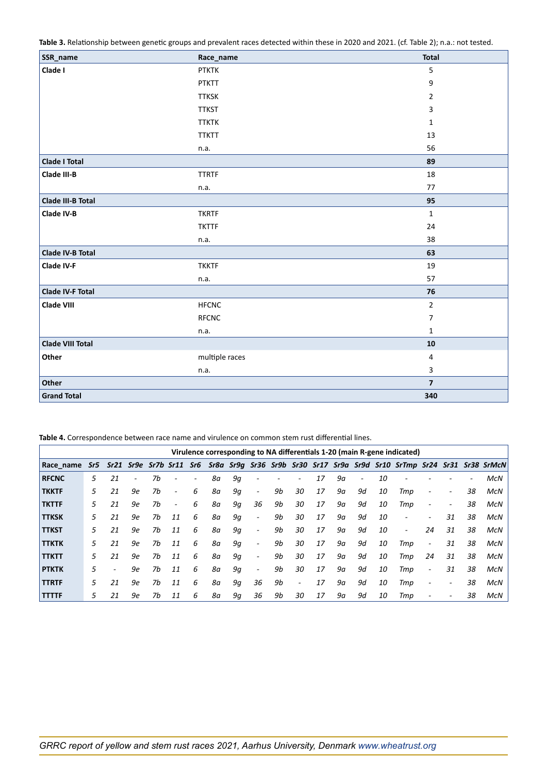**Table 3.** Relationship between genetic groups and prevalent races detected within these in 2020 and 2021. (cf. Table 2); n.a.: not tested.

| SSR_name                 | Race_name      | <b>Total</b>            |
|--------------------------|----------------|-------------------------|
| Clade I                  | <b>PTKTK</b>   | 5                       |
|                          | <b>PTKTT</b>   | 9                       |
|                          | <b>TTKSK</b>   | 2                       |
|                          | <b>TTKST</b>   | 3                       |
|                          | <b>TTKTK</b>   | 1                       |
|                          | <b>TTKTT</b>   | 13                      |
|                          | n.a.           | 56                      |
| <b>Clade I Total</b>     |                | 89                      |
| Clade III-B              | <b>TTRTF</b>   | 18                      |
|                          | n.a.           | $77 \,$                 |
| <b>Clade III-B Total</b> |                | 95                      |
| Clade IV-B               | <b>TKRTF</b>   | $\mathbf 1$             |
|                          | <b>TKTTF</b>   | 24                      |
|                          | n.a.           | 38                      |
| <b>Clade IV-B Total</b>  |                | 63                      |
| Clade IV-F               | <b>TKKTF</b>   | 19                      |
|                          | n.a.           | 57                      |
| <b>Clade IV-F Total</b>  |                | 76                      |
| <b>Clade VIII</b>        | <b>HFCNC</b>   | $\overline{2}$          |
|                          | <b>RFCNC</b>   | 7                       |
|                          | n.a.           | $\mathbf{1}$            |
| <b>Clade VIII Total</b>  |                | ${\bf 10}$              |
| Other                    | multiple races | 4                       |
|                          | n.a.           | 3                       |
| Other                    |                | $\overline{\mathbf{z}}$ |
| <b>Grand Total</b>       |                | 340                     |

**Table 4.** Correspondence between race name and virulence on common stem rust differential lines.

|              |     |                |           |           |                          |     |    |    |                          |    |                          |    |    |                       |    | Virulence corresponding to NA differentials 1-20 (main R-gene indicated) |                          |                          |    |                                                                         |
|--------------|-----|----------------|-----------|-----------|--------------------------|-----|----|----|--------------------------|----|--------------------------|----|----|-----------------------|----|--------------------------------------------------------------------------|--------------------------|--------------------------|----|-------------------------------------------------------------------------|
| Race name    | Sr5 |                | Sr21 Sr9e | Sr7b Sr11 |                          | Sr6 |    |    |                          |    |                          |    |    |                       |    |                                                                          |                          |                          |    | Sr8a Sr9q Sr36 Sr9b Sr30 Sr17 Sr9a Sr9d Sr10 SrTmp Sr24 Sr31 Sr38 SrMcN |
| <b>RFCNC</b> | 5   | 21             | ۰         | 7b        |                          |     | 8а | 9q | ۰                        |    |                          | 17 | 9а | $\tilde{\phantom{a}}$ | 10 |                                                                          |                          |                          |    | McN                                                                     |
| <b>TKKTF</b> | 5   | 21             | 9e        | 7b        | ۰                        | 6   | 8а | 9q | $\overline{\phantom{a}}$ | 9b | 30                       | 17 | 9а | 9d                    | 10 | Tmp                                                                      | $\overline{\phantom{a}}$ |                          | 38 | McN                                                                     |
| <b>TKTTF</b> | 5.  | 21             | 9e        | 7b        | $\overline{\phantom{a}}$ | 6   | 8а | 9q | 36                       | 9b | 30                       | 17 | 9а | 9d                    | 10 | Tmp                                                                      | $\overline{\phantom{a}}$ | $\overline{\phantom{0}}$ | 38 | <b>McN</b>                                                              |
| <b>TTKSK</b> | 5.  | 21             | 9e        | 7b        | 11                       | 6   | 8а | 9q | $\sim$                   | 9b | 30                       | 17 | 9а | 9d                    | 10 | $\overline{\phantom{0}}$                                                 | $\overline{\phantom{a}}$ | 31                       | 38 | McN                                                                     |
| <b>TTKST</b> | 5.  | 21             | 9e        | 7b        | 11                       | 6   | 8а | 9q | $\sim$                   | 9b | 30                       | 17 | 9а | 9d                    | 10 | $\overline{\phantom{a}}$                                                 | 24                       | 31                       | 38 | McN                                                                     |
| <b>TTKTK</b> | 5   | 21             | 9e        | 7b        | 11                       | 6   | 8а | 9q | $\overline{\phantom{a}}$ | 9b | 30                       | 17 | 9а | 9d                    | 10 | Tmp                                                                      | $\overline{\phantom{a}}$ | 31                       | 38 | McN                                                                     |
| <b>TTKTT</b> | 5.  | 21             | 9e        | 7b        | 11                       | 6   | 8а | 9q | $\overline{\phantom{a}}$ | 9b | 30                       | 17 | 9а | 9d                    | 10 | Tmp                                                                      | 24                       | 31                       | 38 | McN                                                                     |
| <b>PTKTK</b> | 5   | $\overline{a}$ | 9e        | 7b        | 11                       | 6   | 8а | 9q | $\overline{\phantom{a}}$ | 9b | 30                       | 17 | 9а | 9d                    | 10 | Tmp                                                                      | $\overline{\phantom{a}}$ | 31                       | 38 | McN                                                                     |
| <b>TTRTF</b> | 5   | 21             | 9e        | 7b        | 11                       | 6   | 8а | 9q | 36                       | 9b | $\overline{\phantom{a}}$ | 17 | 9а | 9d                    | 10 | Tmp                                                                      | $\overline{\phantom{a}}$ | -                        | 38 | McN                                                                     |
| <b>TTTTF</b> | 5   | 21             | 9e        | 7b        | 11                       | 6   | 8а | 9q | 36                       | 9b | 30                       | 17 | 9а | 9d                    | 10 | Tmp                                                                      | $\tilde{\phantom{a}}$    |                          | 38 | McN                                                                     |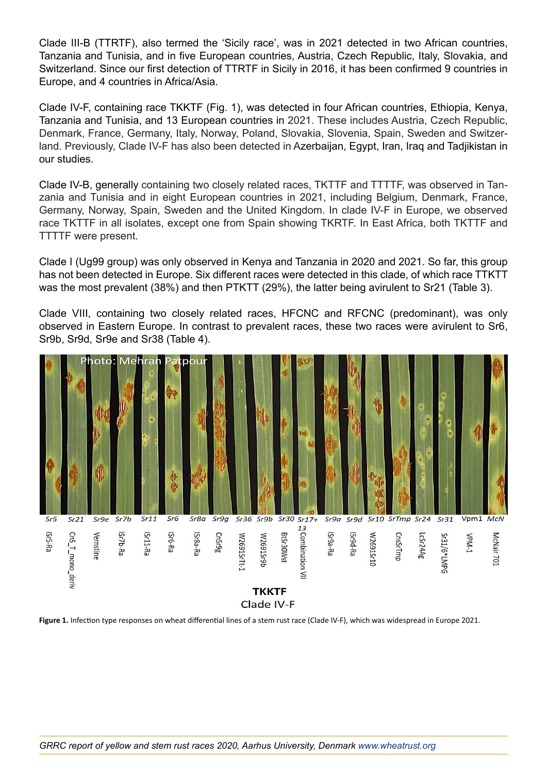Clade III-B (TTRTF), also termed the 'Sicily race', was in 2021 detected in two African countries, Tanzania and Tunisia, and in five European countries, Austria, Czech Republic, Italy, Slovakia, and Switzerland. Since our first detection of TTRTF in Sicily in 2016, it has been confirmed 9 countries in Europe, and 4 countries in Africa/Asia.

Clade IV-F, containing race TKKTF (Fig. 1), was detected in four African countries, Ethiopia, Kenya, Tanzania and Tunisia, and 13 European countries in 2021. These includes Austria, Czech Republic, Denmark, France, Germany, Italy, Norway, Poland, Slovakia, Slovenia, Spain, Sweden and Switzerland. Previously, Clade IV-F has also been detected in Azerbaijan, Egypt, Iran, Iraq and Tadjikistan in our studies.

Clade IV-B, generally containing two closely related races, TKTTF and TTTTF, was observed in Tanzania and Tunisia and in eight European countries in 2021, including Belgium, Denmark, France, Germany, Norway, Spain, Sweden and the United Kingdom. In clade IV-F in Europe, we observed race TKTTF in all isolates, except one from Spain showing TKRTF. In East Africa, both TKTTF and TTTTF were present.

Clade I (Ug99 group) was only observed in Kenya and Tanzania in 2020 and 2021. So far, this group has not been detected in Europe. Six different races were detected in this clade, of which race TTKTT was the most prevalent (38%) and then PTKTT (29%), the latter being avirulent to Sr21 (Table 3).

Clade VIII, containing two closely related races, HFCNC and RFCNC (predominant), was only observed in Eastern Europe. In contrast to prevalent races, these two races were avirulent to Sr6, Sr9b, Sr9d, Sr9e and Sr38 (Table 4).



Figure 1. Infection type responses on wheat differential lines of a stem rust race (Clade IV-F), which was widespread in Europe 2021.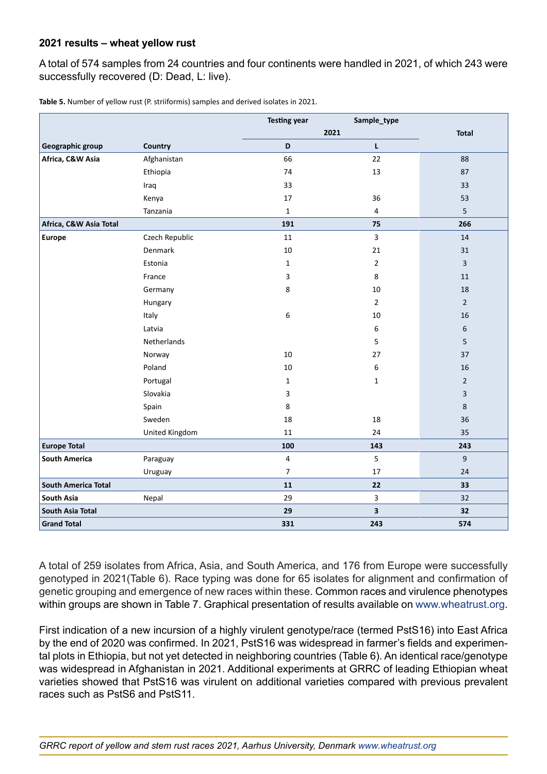## **2021 results – wheat yellow rust**

A total of 574 samples from 24 countries and four continents were handled in 2021, of which 243 were successfully recovered (D: Dead, L: live).

|                            |                | <b>Testing year</b> | Sample_type      |                |
|----------------------------|----------------|---------------------|------------------|----------------|
|                            |                |                     | 2021             | <b>Total</b>   |
| Geographic group           | Country        | D                   | L.               |                |
| Africa, C&W Asia           | Afghanistan    | 66                  | 22               | 88             |
|                            | Ethiopia       | 74                  | 13               | 87             |
|                            | Iraq           | 33                  |                  | 33             |
|                            | Kenya          | 17                  | 36               | 53             |
|                            | Tanzania       | $\mathbf 1$         | $\overline{4}$   | 5              |
| Africa, C&W Asia Total     |                | 191                 | 75               | 266            |
| <b>Europe</b>              | Czech Republic | 11                  | $\overline{3}$   | 14             |
|                            | Denmark        | $10\,$              | 21               | 31             |
|                            | Estonia        | 1                   | $\overline{2}$   | 3              |
|                            | France         | 3                   | 8                | $11\,$         |
|                            | Germany        | 8                   | 10               | 18             |
|                            | Hungary        |                     | $\overline{2}$   | $\overline{2}$ |
|                            | Italy          | 6                   | 10               | 16             |
|                            | Latvia         |                     | 6                | 6              |
|                            | Netherlands    |                     | 5                | 5              |
|                            | Norway         | 10                  | 27               | 37             |
|                            | Poland         | 10                  | $\boldsymbol{6}$ | 16             |
|                            | Portugal       | $\mathbf{1}$        | $\mathbf{1}$     | $\overline{2}$ |
|                            | Slovakia       | 3                   |                  | 3              |
|                            | Spain          | 8                   |                  | 8              |
|                            | Sweden         | 18                  | 18               | 36             |
|                            | United Kingdom | 11                  | 24               | 35             |
| <b>Europe Total</b>        |                | 100                 | 143              | 243            |
| <b>South America</b>       | Paraguay       | 4                   | 5                | 9              |
|                            | Uruguay        | $\overline{7}$      | 17               | 24             |
| <b>South America Total</b> |                | 11                  | 22               | 33             |
| South Asia                 | Nepal          | 29                  | 3                | 32             |
| South Asia Total           |                | 29                  | 3                | 32             |
| <b>Grand Total</b>         |                | 331                 | 243              | 574            |

**Table 5.** Number of yellow rust (P. striiformis) samples and derived isolates in 2021.

A total of 259 isolates from Africa, Asia, and South America, and 176 from Europe were successfully genotyped in 2021(Table 6). Race typing was done for 65 isolates for alignment and confirmation of genetic grouping and emergence of new races within these. Common races and virulence phenotypes within groups are shown in Table 7. Graphical presentation of results available on [www.wheatrust.org.](http://www.wheatrust.org)

First indication of a new incursion of a highly virulent genotype/race (termed PstS16) into East Africa by the end of 2020 was confirmed. In 2021, PstS16 was widespread in farmer's fields and experimental plots in Ethiopia, but not yet detected in neighboring countries (Table 6). An identical race/genotype was widespread in Afghanistan in 2021. Additional experiments at GRRC of leading Ethiopian wheat varieties showed that PstS16 was virulent on additional varieties compared with previous prevalent races such as PstS6 and PstS11.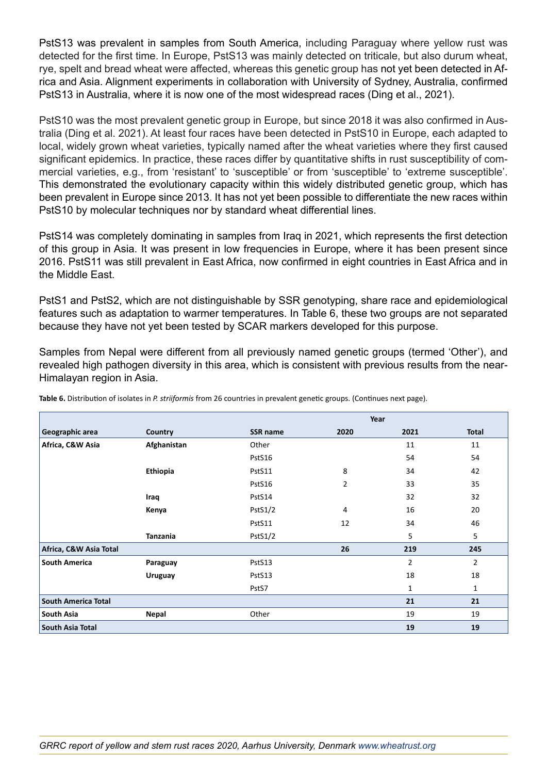PstS13 was prevalent in samples from South America, including Paraguay where yellow rust was detected for the first time. In Europe, PstS13 was mainly detected on triticale, but also durum wheat, rye, spelt and bread wheat were affected, whereas this genetic group has not yet been detected in Africa and Asia. Alignment experiments in collaboration with University of Sydney, Australia, confirmed PstS13 in Australia, where it is now one of the most widespread races (Ding et al., 2021).

PstS10 was the most prevalent genetic group in Europe, but since 2018 it was also confirmed in Australia (Ding et al. 2021). At least four races have been detected in PstS10 in Europe, each adapted to local, widely grown wheat varieties, typically named after the wheat varieties where they first caused significant epidemics. In practice, these races differ by quantitative shifts in rust susceptibility of commercial varieties, e.g., from 'resistant' to 'susceptible' or from 'susceptible' to 'extreme susceptible'. This demonstrated the evolutionary capacity within this widely distributed genetic group, which has been prevalent in Europe since 2013. It has not yet been possible to differentiate the new races within PstS10 by molecular techniques nor by standard wheat differential lines.

PstS14 was completely dominating in samples from Iraq in 2021, which represents the first detection of this group in Asia. It was present in low frequencies in Europe, where it has been present since 2016. PstS11 was still prevalent in East Africa, now confirmed in eight countries in East Africa and in the Middle East.

PstS1 and PstS2, which are not distinguishable by SSR genotyping, share race and epidemiological features such as adaptation to warmer temperatures. In Table 6, these two groups are not separated because they have not yet been tested by SCAR markers developed for this purpose.

Samples from Nepal were different from all previously named genetic groups (termed 'Other'), and revealed high pathogen diversity in this area, which is consistent with previous results from the near-Himalayan region in Asia.

|                            |                 |                 |                | Year           |                |
|----------------------------|-----------------|-----------------|----------------|----------------|----------------|
| Geographic area            | Country         | <b>SSR name</b> | 2020           | 2021           | <b>Total</b>   |
| Africa, C&W Asia           | Afghanistan     | Other           |                | 11             | 11             |
|                            |                 | PstS16          |                | 54             | 54             |
|                            | Ethiopia        | PstS11          | 8              | 34             | 42             |
|                            |                 | PstS16          | $\overline{2}$ | 33             | 35             |
|                            | Iraq            | PstS14          |                | 32             | 32             |
|                            | Kenya           | PstS1/2         | 4              | 16             | 20             |
|                            |                 | PstS11          | 12             | 34             | 46             |
|                            | <b>Tanzania</b> | PstS1/2         |                | 5              | 5              |
| Africa, C&W Asia Total     |                 |                 | 26             | 219            | 245            |
| <b>South America</b>       | Paraguay        | PstS13          |                | $\overline{2}$ | $\overline{2}$ |
|                            | <b>Uruguay</b>  | PstS13          |                | 18             | 18             |
|                            |                 | PstS7           |                | $\mathbf{1}$   | $\mathbf{1}$   |
| <b>South America Total</b> |                 |                 |                | 21             | 21             |
| South Asia                 | <b>Nepal</b>    | Other           |                | 19             | 19             |
| South Asia Total           |                 |                 |                | 19             | 19             |

**Table 6.** Distribution of isolates in *P. striiformis* from 26 countries in prevalent genetic groups. (Continues next page).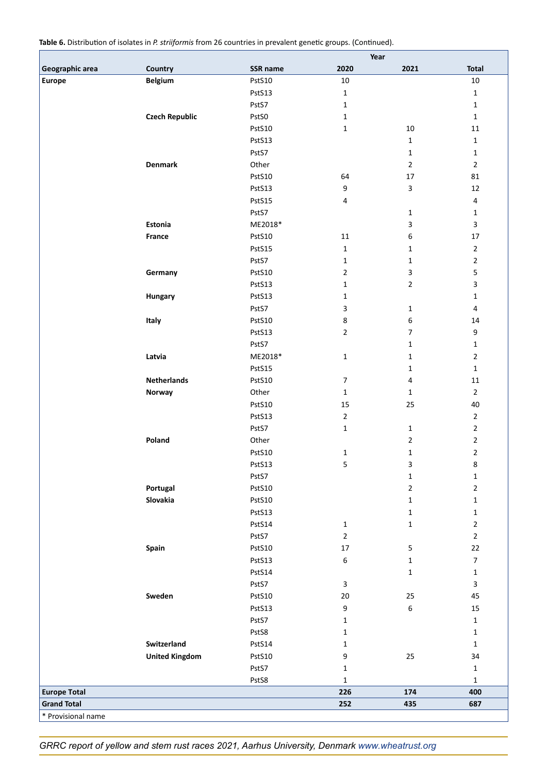**Table 6.** Distribution of isolates in *P. striiformis* from 26 countries in prevalent genetic groups. (Continued).

|                     |                       |          | Year             |                |                |
|---------------------|-----------------------|----------|------------------|----------------|----------------|
| Geographic area     | Country               | SSR name | 2020             | 2021           | <b>Total</b>   |
| <b>Europe</b>       | <b>Belgium</b>        | PstS10   | $10\,$           |                | $10\,$         |
|                     |                       | PstS13   | $\mathbf{1}$     |                | $\mathbf 1$    |
|                     |                       | PstS7    | 1                |                | $\mathbf{1}$   |
|                     | <b>Czech Republic</b> | PstS0    | 1                |                | $\mathbf 1$    |
|                     |                       | PstS10   | $\mathbf 1$      | $10\,$         | 11             |
|                     |                       | PstS13   |                  | $\mathbf{1}$   | $\mathbf{1}$   |
|                     |                       | PstS7    |                  | $\mathbf{1}$   | $\mathbf 1$    |
|                     | <b>Denmark</b>        | Other    |                  | $\overline{2}$ | $\overline{2}$ |
|                     |                       | PstS10   | 64               | 17             | 81             |
|                     |                       | PstS13   | 9                | 3              | 12             |
|                     |                       | PstS15   | 4                |                | $\overline{4}$ |
|                     |                       | PstS7    |                  |                | $\mathbf{1}$   |
|                     |                       |          |                  | 1              |                |
|                     | Estonia               | ME2018*  |                  | 3              | $\overline{3}$ |
|                     | France                | PstS10   | 11               | 6              | 17             |
|                     |                       | PstS15   | $\mathbf{1}$     | $\mathbf 1$    | $\overline{2}$ |
|                     |                       | PstS7    | 1                | 1              | $\overline{2}$ |
|                     | Germany               | PstS10   | $\overline{2}$   | 3              | 5              |
|                     |                       | PstS13   | $\mathbf 1$      | $\overline{2}$ | 3              |
|                     | Hungary               | PstS13   | 1                |                | $\mathbf{1}$   |
|                     |                       | PstS7    | 3                | 1              | $\overline{4}$ |
|                     | Italy                 | PstS10   | 8                | 6              | 14             |
|                     |                       | PstS13   | $\overline{2}$   | 7              | 9              |
|                     |                       | PstS7    |                  | 1              | $\mathbf 1$    |
|                     | Latvia                | ME2018*  | $\mathbf 1$      | $\mathbf 1$    | $\overline{2}$ |
|                     |                       | PstS15   |                  | $\mathbf 1$    | $\mathbf 1$    |
|                     | <b>Netherlands</b>    | PstS10   | $\boldsymbol{7}$ | 4              | 11             |
|                     | Norway                | Other    | $\mathbf{1}$     | 1              | $\overline{2}$ |
|                     |                       | PstS10   | 15               | 25             | 40             |
|                     |                       | PstS13   | $\mathbf 2$      |                | $\overline{2}$ |
|                     |                       | PstS7    | $\mathbf{1}$     | $\mathbf{1}$   | $\overline{2}$ |
|                     | Poland                | Other    |                  | 2              | $\overline{2}$ |
|                     |                       | PstS10   | 1                | $\mathbf 1$    | $\overline{2}$ |
|                     |                       | PstS13   | 5                | 3              | 8              |
|                     |                       |          |                  |                |                |
|                     |                       | PstS7    |                  | $\mathbf 1$    | $\mathbf 1$    |
|                     | Portugal              | PstS10   |                  | $\overline{2}$ | $\overline{2}$ |
|                     | Slovakia              | PstS10   |                  | 1              | $\mathbf 1$    |
|                     |                       | PstS13   |                  | $\mathbf{1}$   | $\mathbf 1$    |
|                     |                       | PstS14   | $\mathbf{1}$     | $\mathbf{1}$   | $\overline{2}$ |
|                     |                       | PstS7    | $\overline{2}$   |                | $\overline{2}$ |
|                     | Spain                 | PstS10   | $17\,$           | 5              | 22             |
|                     |                       | PstS13   | $\boldsymbol{6}$ | 1              | $\overline{7}$ |
|                     |                       | PstS14   |                  | $\mathbf{1}$   | $\mathbf 1$    |
|                     |                       | PstS7    | 3                |                | $\mathsf{3}$   |
|                     | Sweden                | PstS10   | $20\,$           | 25             | 45             |
|                     |                       | PstS13   | 9                | 6              | 15             |
|                     |                       | PstS7    | 1                |                | $\mathbf 1$    |
|                     |                       | PstS8    | 1                |                | $\mathbf 1$    |
|                     | Switzerland           | PstS14   | 1                |                | $\mathbf{1}$   |
|                     | <b>United Kingdom</b> | PstS10   | 9                | 25             | 34             |
|                     |                       | PstS7    | 1                |                | $\mathbf 1$    |
|                     |                       | PstS8    | $\mathbf{1}$     |                | $\mathbf{1}$   |
| <b>Europe Total</b> |                       |          | 226              | 174            | 400            |
| <b>Grand Total</b>  |                       |          | 252              | 435            | 687            |
| * Provisional name  |                       |          |                  |                |                |

*GRRC report of yellow and stem rust races 2021, Aarhus University, Denmark www.wheatrust.org*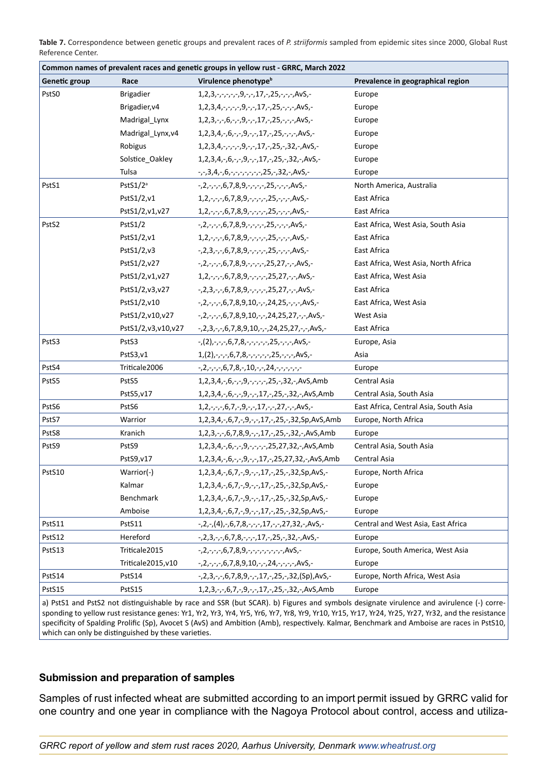**Table 7.** Correspondence between genetic groups and prevalent races of *P. striiformis* sampled from epidemic sites since 2000, Global Rust Reference Center.

|               |                    | Common names of prevalent races and genetic groups in yellow rust - GRRC, March 2022 |                                       |
|---------------|--------------------|--------------------------------------------------------------------------------------|---------------------------------------|
| Genetic group | Race               | Virulence phenotype <sup>b</sup>                                                     | Prevalence in geographical region     |
| PstS0         | <b>Brigadier</b>   | $1, 2, 3, -, -, -, -, 9, -, -, 17, -, 25, -, -, -$ , AvS,-                           | Europe                                |
|               | Brigadier, v4      | 1,2,3,4,-,-,-,9,-,-,17,-,25,-,-,-,AvS,-                                              | Europe                                |
|               | Madrigal_Lynx      | 1,2,3,-,-,6,-,-,9,-,-,17,-,25,-,-,-,AvS,-                                            | Europe                                |
|               | Madrigal_Lynx,v4   | 1,2,3,4,-,6,-,-,9,-,-,17,-,25,-,-,-,AvS,-                                            | Europe                                |
|               | Robigus            | 1,2,3,4,-,-,-,-,9,-,-,17,-,25,-,32,-,AvS,-                                           | Europe                                |
|               | Solstice_Oakley    | 1,2,3,4,-,6,-,-,9,-,-,17,-,25,-,32,-,AvS,-                                           | Europe                                |
|               | Tulsa              | -,-,3,4,-,6,-,-,-,-,-,-,-,-,32,-,AvS,-                                               | Europe                                |
| PstS1         | PstS $1/2^a$       | $-,2,-,-,6,7,8,9,-,-,-,25,-,-,A\nu S,-$                                              | North America, Australia              |
|               | PstS1/2,v1         | 1,2,-,-,-,6,7,8,9,-,-,-,-,25,-,-,-,AvS,-                                             | East Africa                           |
|               | PstS1/2,v1,v27     | 1,2,-,-,-,6,7,8,9,-,-,-,-,25,-,-,-,AvS,-                                             | East Africa                           |
| PstS2         | PstS1/2            | -,2,-,-,-,6,7,8,9,-,-,-,-,25,-,-,-,AvS,-                                             | East Africa, West Asia, South Asia    |
|               | PstS1/2,v1         | 1,2,-,-,-,6,7,8,9,-,-,-,-,25,-,-,-,AvS,-                                             | East Africa                           |
|               | PstS1/2,v3         | $-2,3,-,-6,7,8,9,-,-,-25,-,-,Av$                                                     | East Africa                           |
|               | PstS1/2,v27        | -,2,-,-,-,6,7,8,9,-,-,-,-,25,27,-,-,AvS,-                                            | East Africa, West Asia, North Africa  |
|               | PstS1/2,v1,v27     | 1,2,-,-,-,6,7,8,9,-,-,-,-,25,27,-,-,AvS,-                                            | East Africa, West Asia                |
|               | PstS1/2,v3,v27     | -,2,3,-,-,6,7,8,9,-,-,-,-,25,27,-,-,AvS,-                                            | East Africa                           |
|               | PstS1/2,v10        | -,2,-,-,-,6,7,8,9,10,-,-,24,25,-,-,-,AvS,-                                           | East Africa, West Asia                |
|               | PstS1/2,v10,v27    | -,2,-,-,-,6,7,8,9,10,-,-,24,25,27,-,-,AvS,-                                          | West Asia                             |
|               | PstS1/2,v3,v10,v27 | -,2,3,-,-,6,7,8,9,10,-,-,24,25,27,-,-,AvS,-                                          | East Africa                           |
| PstS3         | PstS3              | $-(2), -,-, 6, 7, 8, -,-, -,-, 25, -,-, A\nu S, -$                                   | Europe, Asia                          |
|               | PstS3,v1           | 1, (2), -, -, -, 6, 7, 8, -, -, -, -, -, 25, -, -, -, AvS, -                         | Asia                                  |
| PstS4         | Triticale2006      | $-2, -2, -7, -6, 7, 8, -10, -7, 24, -7, -7, -7$                                      | Europe                                |
| PstS5         | PstS5              | 1,2,3,4,-,6,-,-,9,-,-,-,-,25,-,32,-,AvS,Amb                                          | Central Asia                          |
|               | PstS5,v17          | 1,2,3,4,-,6,-,-,9,-,-,17,-,25,-,32,-,AvS,Amb                                         | Central Asia, South Asia              |
| PstS6         | PstS6              | 1,2,-,-,-,6,7,-,9,-,-,17,-,-,27,-,-,AvS,-                                            | East Africa, Central Asia, South Asia |
| PstS7         | Warrior            | 1,2,3,4,-,6,7,-,9,-,-,17,-,25,-,32,Sp,AvS,Amb                                        | Europe, North Africa                  |
| PstS8         | Kranich            | 1,2,3,-,-,6,7,8,9,-,-,17,-,25,-,32,-,AvS,Amb                                         | Europe                                |
| PstS9         | PstS9              | 1,2,3,4,-,6,-,-,9,-,-,-,-,25,27,32,-,AvS,Amb                                         | Central Asia, South Asia              |
|               | PstS9,v17          | 1,2,3,4,-,6,-,-,9,-,-,17,-,25,27,32,-,AvS,Amb                                        | Central Asia                          |
| PstS10        | Warrior(-)         | 1,2,3,4,-,6,7,-,9,-,-,17,-,25,-,32,Sp,AvS,-                                          | Europe, North Africa                  |
|               | Kalmar             | 1,2,3,4,-,6,7,-,9,-,-,17,-,25,-,32,Sp,AvS,-                                          | Europe                                |
|               | Benchmark          | 1,2,3,4,-,6,7,-,9,-,-,17,-,25,-,32,Sp,AvS,-                                          | Europe                                |
|               | Amboise            | 1,2,3,4,-,6,7,-,9,-,-,17,-,25,-,32,Sp,AvS,-                                          | Europe                                |
| PstS11        | PstS11             | $-,2,-, (4),-,6,7,8,-,-,17,-,-,27,32,-,AvS,-$                                        | Central and West Asia, East Africa    |
| PstS12        | Hereford           | -,2,3,-,-,6,7,8,-,-,-,17,-,25,-,32,-,AvS,-                                           | Europe                                |
| PstS13        | Triticale2015      | $-2, -7, -7, 6, 7, 8, 9, -7, -7, -7, -7, -7, Av$                                     | Europe, South America, West Asia      |
|               | Triticale2015,v10  | -,2,-,-,-,6,7,8,9,10,-,-,24,-,-,-,-,AvS,-                                            | Europe                                |
| PstS14        | PstS14             | -,2,3,-,-,6,7,8,9,-,-,17,-,25,-,32,(Sp),AvS,-                                        | Europe, North Africa, West Asia       |
| PstS15        | PstS15             | 1,2,3,-,-,6,7,-,9,-,-,17,-,25,-,32,-,AvS,Amb                                         | Europe                                |

a) PstS1 and PstS2 not distinguishable by race and SSR (but SCAR). b) Figures and symbols designate virulence and avirulence (-) corresponding to yellow rust resistance genes: Yr1, Yr2, Yr3, Yr4, Yr5, Yr6, Yr7, Yr8, Yr9, Yr10, Yr15, Yr17, Yr24, Yr25, Yr27, Yr32, and the resistance specificity of Spalding Prolific (Sp), Avocet S (AvS) and Ambition (Amb), respectively. Kalmar, Benchmark and Amboise are races in PstS10, which can only be distinguished by these varieties.

## **Submission and preparation of samples**

Samples of rust infected wheat are submitted according to an import permit issued by GRRC valid for one country and one year in compliance with the Nagoya Protocol about control, access and utiliza-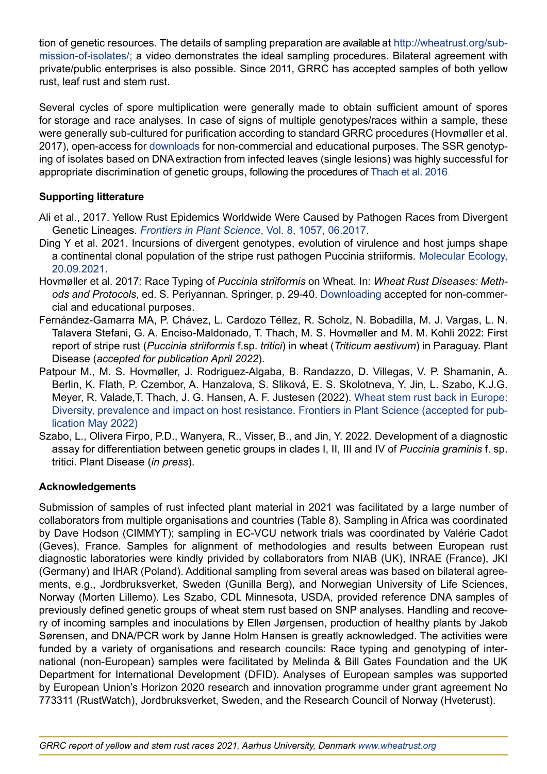tion of genetic resources. The details of sampling preparation are available at [http://wheatrust.org/sub](http://wheatrust.org/submission-of-isolates/)[mission-of-isolates/;](http://wheatrust.org/submission-of-isolates/) a video demonstrates the ideal sampling procedures. Bilateral agreement with private/public enterprises is also possible. Since 2011, GRRC has accepted samples of both yellow rust, leaf rust and stem rust.

Several cycles of spore multiplication were generally made to obtain sufficient amount of spores for storage and race analyses. In case of signs of multiple genotypes/races within a sample, these were generally sub-cultured for purification according to standard GRRC procedures (Hovmøller et al. 2017), open-access for [downloads](http://agro.au.dk/fileadmin/Race_Typing_of_Puccinia_striiformis_on_wheat.pdf) for non-commercial and educational purposes. The SSR genotyping of isolates based on DNA extraction from infected leaves (single lesions) was highly successful for appropriate discrimination of genetic groups, following the procedures of [Thach et al. 2016](http://www.sciencedirect.com/science/article/pii/S1087184515300621?via%3Dihub).

## **Supporting litterature**

- Ali et al., 2017. Yellow Rust Epidemics Worldwide Were Caused by Pathogen Races from Divergent Genetic Lineages. *[Frontiers in Plant Science](https://www.frontiersin.org/articles/10.3389/fpls.2017.01057/full)*, Vol. 8, 1057, 06.2017.
- Ding Y et al. 2021. Incursions of divergent genotypes, evolution of virulence and host jumps shape a continental clonal population of the stripe rust pathogen Puccinia striiformis. [Molecular Ecology,](https://pubmed.ncbi.nlm.nih.gov/34543497/)  [20.09.2021](https://pubmed.ncbi.nlm.nih.gov/34543497/).
- Hovmøller et al. 2017: Race Typing of *Puccinia striiformis* on Wheat. In: *Wheat Rust Diseases: Methods and Protocols*, ed. S. Periyannan. Springer, p. 29-40. [Downloading](http://agro.au.dk/fileadmin/Race_Typing_of_Puccinia_striiformis_on_wheat.pdf) accepted for non-commercial and educational purposes.
- Fernández-Gamarra MA, P. Chávez, L. Cardozo Téllez, R. Scholz, N. Bobadilla, M. J. Vargas, L. N. Talavera Stefani, G. A. Enciso-Maldonado, T. Thach, M. S. Hovmøller and M. M. Kohli 2022: First report of stripe rust (*Puccinia striiformis* f.sp. *tritici*) in wheat (*Triticum aestivum*) in Paraguay. Plant Disease (*accepted for publication April 2022*).
- Patpour M., M. S. Hovmøller, J. Rodriguez-Algaba, B. Randazzo, D. Villegas, V. P. Shamanin, A. Berlin, K. Flath, P. Czembor, A. Hanzalova, S. Sliková, E. S. Skolotneva, Y. Jin, L. Szabo, K.J.G. Meyer, R. Valade,T. Thach, J. G. Hansen, A. F. Justesen (2022). Wheat stem rust back in Europe: Diversity, prevalence and impact on host resistance. Frontiers in Plant Science (accepted for publication May 2022)
- Szabo, L., Olivera Firpo, P.D., Wanyera, R., Visser, B., and Jin, Y. 2022. Development of a diagnostic assay for differentiation between genetic groups in clades I, II, III and IV of *Puccinia graminis* f. sp. tritici. Plant Disease (*in press*).

## **Acknowledgements**

Submission of samples of rust infected plant material in 2021 was facilitated by a large number of collaborators from multiple organisations and countries (Table 8). Sampling in Africa was coordinated by Dave Hodson (CIMMYT); sampling in EC-VCU network trials was coordinated by Valérie Cadot (Geves), France. Samples for alignment of methodologies and results between European rust diagnostic laboratories were kindly privided by collaborators from NIAB (UK), INRAE (France), JKI (Germany) and IHAR (Poland). Additional sampling from several areas was based on bilateral agreements, e.g., Jordbruksverket, Sweden (Gunilla Berg), and Norwegian University of Life Sciences, Norway (Morten Lillemo). Les Szabo, CDL Minnesota, USDA, provided reference DNA samples of previously defined genetic groups of wheat stem rust based on SNP analyses. Handling and recovery of incoming samples and inoculations by Ellen Jørgensen, production of healthy plants by Jakob Sørensen, and DNA/PCR work by Janne Holm Hansen is greatly acknowledged. The activities were funded by a variety of organisations and research councils: Race typing and genotyping of international (non-European) samples were facilitated by Melinda & Bill Gates Foundation and the UK Department for International Development (DFID). Analyses of European samples was supported by European Union's Horizon 2020 research and innovation programme under grant agreement No 773311 (RustWatch), Jordbruksverket, Sweden, and the Research Council of Norway (Hveterust).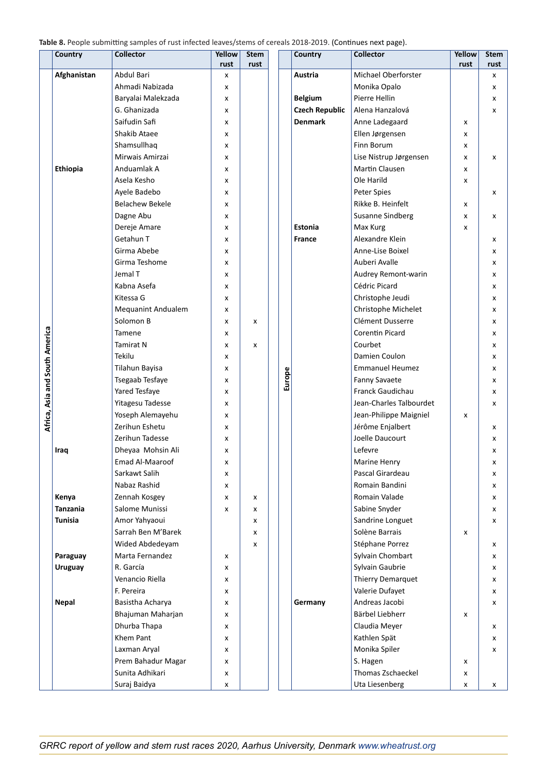**Table 8.** People submitting samples of rust infected leaves/stems of cereals 2021 (Continues next page).

|                                | Country         | <b>Collector</b>                      | <b>Yellow</b> | <b>Stem</b> |        | Country               | <b>Collector</b>              | Yellow | <b>Stem</b> |
|--------------------------------|-----------------|---------------------------------------|---------------|-------------|--------|-----------------------|-------------------------------|--------|-------------|
|                                | Afghanistan     | Abdul Bari                            | rust          | rust        |        | Austria               | Michael Oberforster           | rust   | rust        |
|                                |                 | Ahmadi Nabizada                       | x<br>x        |             |        |                       | Monika Opalo                  |        | x<br>x      |
|                                |                 | Baryalai Malekzada                    | x             |             |        | <b>Belgium</b>        | Pierre Hellin                 |        | x           |
|                                |                 | G. Ghanizada                          | x             |             |        | <b>Czech Republic</b> | Alena Hanzalová               |        | x           |
|                                |                 | Saifudin Safi                         | x             |             |        | <b>Denmark</b>        | Anne Ladegaard                | x      |             |
|                                |                 | Shakib Ataee                          | x             |             |        |                       | Ellen Jørgensen               | x      |             |
|                                |                 | Shamsullhaq                           | x             |             |        |                       | Finn Borum                    | x      |             |
|                                |                 | Mirwais Amirzai                       | x             |             |        |                       | Lise Nistrup Jørgensen        | x      | x           |
|                                | <b>Ethiopia</b> | Anduamlak A                           | x             |             |        |                       | Martin Clausen                | x      |             |
|                                |                 | Asela Kesho                           | x             |             |        |                       | Ole Harild                    | x      |             |
|                                |                 | Ayele Badebo                          | x             |             |        |                       | Peter Spies                   |        | x           |
|                                |                 | <b>Belachew Bekele</b>                | x             |             |        |                       | Rikke B. Heinfelt             | x      |             |
|                                |                 | Dagne Abu                             | x             |             |        |                       | <b>Susanne Sindberg</b>       | x      | x           |
|                                |                 | Dereje Amare                          | x             |             |        | <b>Estonia</b>        | Max Kurg                      | x      |             |
|                                |                 | Getahun T                             | x             |             |        | <b>France</b>         | Alexandre Klein               |        | x           |
|                                |                 | Girma Abebe                           | x             |             |        |                       | Anne-Lise Boixel              |        | x           |
|                                |                 | Girma Teshome                         | x             |             |        |                       | Auberi Avalle                 |        | x           |
|                                |                 | Jemal T                               | x             |             |        |                       | Audrey Remont-warin           |        | x           |
|                                |                 | Kabna Asefa                           | x             |             |        |                       | Cédric Picard                 |        | x           |
|                                |                 | Kitessa G                             | x             |             |        |                       | Christophe Jeudi              |        | x           |
|                                |                 | <b>Mequanint Andualem</b>             | x             |             |        |                       | Christophe Michelet           |        | x           |
|                                |                 | Solomon B                             | x             | x           |        |                       | Clément Dusserre              |        | x           |
|                                |                 | Tamene                                | x             |             |        |                       | Corentin Picard               |        | x           |
|                                |                 | Tamirat N                             | x             | x           |        |                       | Courbet                       |        | x           |
| Africa, Asia and South America |                 | Tekilu                                | x             |             |        |                       | Damien Coulon                 |        | x           |
|                                |                 | Tilahun Bayisa                        | x             |             |        |                       | <b>Emmanuel Heumez</b>        |        | x           |
|                                |                 | Tsegaab Tesfaye                       | x             |             | Europe |                       | <b>Fanny Savaete</b>          |        | x           |
|                                |                 | Yared Tesfaye                         | x             |             |        |                       | Franck Gaudichau              |        | x           |
|                                |                 | Yitagesu Tadesse                      | x             |             |        |                       | Jean-Charles Talbourdet       |        | x           |
|                                |                 | Yoseph Alemayehu                      | x             |             |        |                       | Jean-Philippe Maigniel        | x      |             |
|                                |                 | Zerihun Eshetu                        | x             |             |        |                       | Jérôme Enjalbert              |        | x           |
|                                |                 | Zerihun Tadesse                       | x             |             |        |                       | Joelle Daucourt               |        | x           |
|                                | Iraq            | Dheyaa Mohsin Ali                     | x             |             |        |                       | Lefevre                       |        | x           |
|                                |                 | Emad Al-Maaroof                       | x             |             |        |                       | Marine Henry                  |        | x           |
|                                |                 | Sarkawt Salih                         | x             |             |        |                       | Pascal Girardeau              |        | x           |
|                                |                 | Nabaz Rashid                          | x             |             |        |                       | Romain Bandini                |        | x           |
|                                | Kenya           | Zennah Kosgey                         | x             | x           |        |                       | Romain Valade                 |        | x           |
|                                | <b>Tanzania</b> | Salome Munissi                        | x             | x           |        |                       | Sabine Snyder                 |        | x           |
|                                | <b>Tunisia</b>  | Amor Yahyaoui                         |               | x           |        |                       | Sandrine Longuet              |        | x           |
|                                |                 | Sarrah Ben M'Barek                    |               | x           |        |                       | Solène Barrais                | x      |             |
|                                |                 | Wided Abdedeyam                       |               | X           |        |                       | Stéphane Porrez               |        | x           |
|                                | Paraguay        | Marta Fernandez                       | x             |             |        |                       | Sylvain Chombart              |        | x           |
|                                | <b>Uruguay</b>  | R. García                             | x             |             |        |                       | Sylvain Gaubrie               |        | x           |
|                                |                 | Venancio Riella                       | x             |             |        |                       | Thierry Demarquet             |        | x           |
|                                |                 | F. Pereira                            | x             |             |        |                       | Valerie Dufayet               |        | x           |
|                                | <b>Nepal</b>    | Basistha Acharya                      | x             |             |        | Germany               | Andreas Jacobi                |        | x           |
|                                |                 | Bhajuman Maharjan                     | x             |             |        |                       | Bärbel Liebherr               | x      |             |
|                                |                 | Dhurba Thapa                          | x             |             |        |                       | Claudia Meyer                 |        | x           |
|                                |                 | Khem Pant                             | x             |             |        |                       | Kathlen Spät                  |        | x           |
|                                |                 | Laxman Aryal                          | x             |             |        |                       | Monika Spiler                 |        | x           |
|                                |                 | Prem Bahadur Magar<br>Sunita Adhikari | x<br>x        |             |        |                       | S. Hagen<br>Thomas Zschaeckel | x<br>x |             |
|                                |                 | Suraj Baidya                          | x             |             |        |                       | Uta Liesenberg                | x      | x           |
|                                |                 |                                       |               |             |        |                       |                               |        |             |